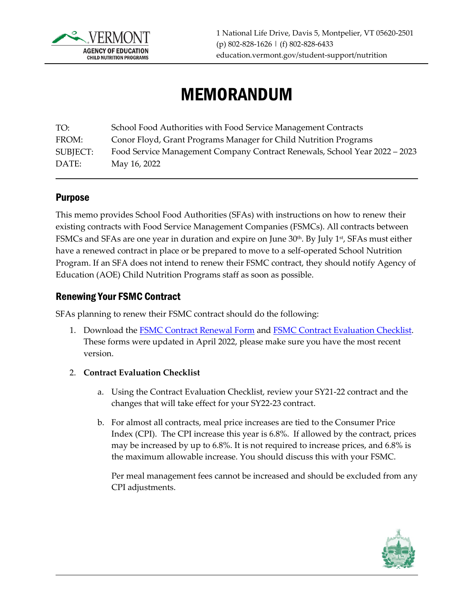

# MEMORANDUM

| TO:      | School Food Authorities with Food Service Management Contracts             |
|----------|----------------------------------------------------------------------------|
| FROM:    | Conor Floyd, Grant Programs Manager for Child Nutrition Programs           |
| SUBJECT: | Food Service Management Company Contract Renewals, School Year 2022 - 2023 |
| DATE:    | May 16, 2022                                                               |

## Purpose

This memo provides School Food Authorities (SFAs) with instructions on how to renew their existing contracts with Food Service Management Companies (FSMCs). All contracts between FSMCs and SFAs are one year in duration and expire on June  $30<sup>th</sup>$ . By July 1<sup>st</sup>, SFAs must either have a renewed contract in place or be prepared to move to a self-operated School Nutrition Program. If an SFA does not intend to renew their FSMC contract, they should notify Agency of Education (AOE) Child Nutrition Programs staff as soon as possible.

## Renewing Your FSMC Contract

SFAs planning to renew their FSMC contract should do the following:

1. Download the [FSMC Contract Renewal Form](https://education.vermont.gov/documents/school-food-service-management-contract-renewal) and [FSMC Contract Evaluation Checklist.](https://education.vermont.gov/documents/nutrition-contract-extension-evaluation-checklist) These forms were updated in April 2022, please make sure you have the most recent version.

#### 2. **Contract Evaluation Checklist**

- a. Using the Contract Evaluation Checklist, review your SY21-22 contract and the changes that will take effect for your SY22-23 contract.
- b. For almost all contracts, meal price increases are tied to the Consumer Price Index (CPI). The CPI increase this year is 6.8%. If allowed by the contract, prices may be increased by up to 6.8%. It is not required to increase prices, and 6.8% is the maximum allowable increase. You should discuss this with your FSMC.

Per meal management fees cannot be increased and should be excluded from any CPI adjustments.